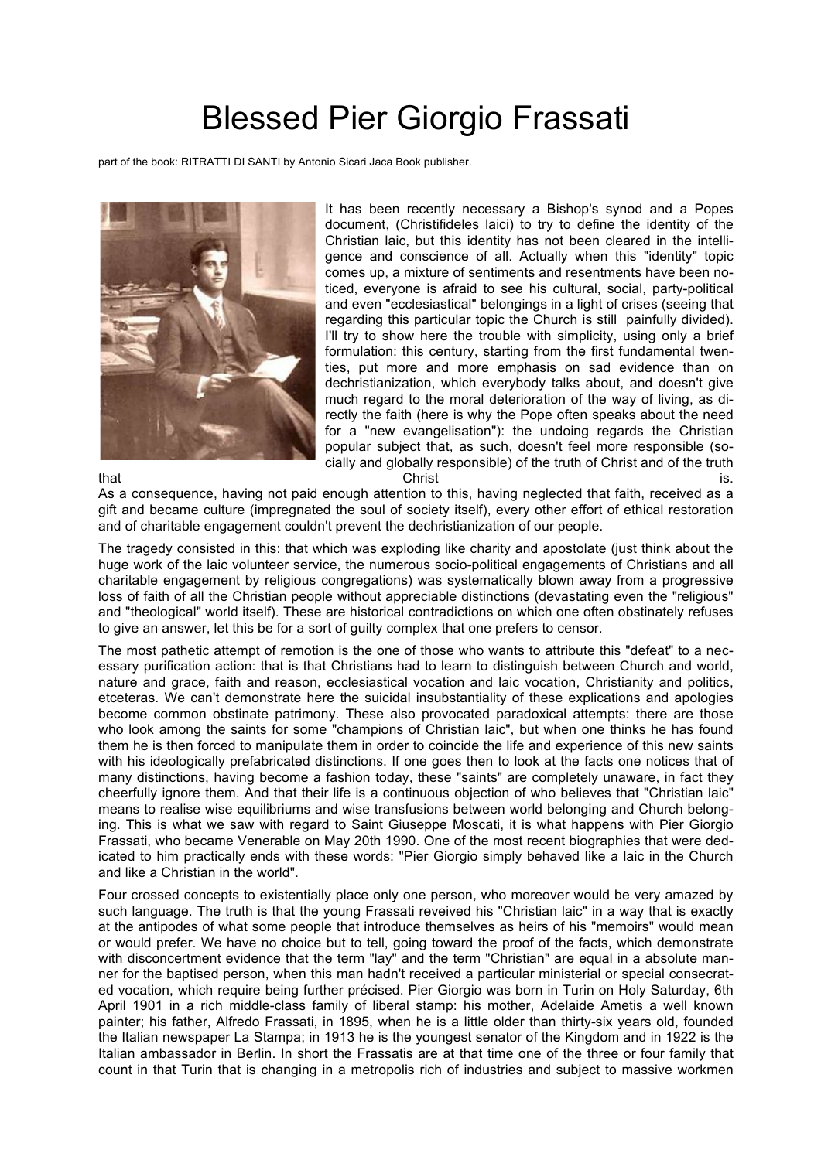## Blessed Pier Giorgio Frassati

part of the book: RITRATTI DI SANTI by Antonio Sicari Jaca Book publisher.



It has been recently necessary a Bishop's synod and a Popes document, (Christifideles laici) to try to define the identity of the Christian laic, but this identity has not been cleared in the intelligence and conscience of all. Actually when this "identity" topic comes up, a mixture of sentiments and resentments have been noticed, everyone is afraid to see his cultural, social, party-political and even "ecclesiastical" belongings in a light of crises (seeing that regarding this particular topic the Church is still painfully divided). I'll try to show here the trouble with simplicity, using only a brief formulation: this century, starting from the first fundamental twenties, put more and more emphasis on sad evidence than on dechristianization, which everybody talks about, and doesn't give much regard to the moral deterioration of the way of living, as directly the faith (here is why the Pope often speaks about the need for a "new evangelisation"): the undoing regards the Christian popular subject that, as such, doesn't feel more responsible (socially and globally responsible) of the truth of Christ and of the truth

that the contract of the contract of the contract of the contract of the contract of the contract of the contract of the contract of the contract of the contract of the contract of the contract of the contract of the contr As a consequence, having not paid enough attention to this, having neglected that faith, received as a gift and became culture (impregnated the soul of society itself), every other effort of ethical restoration and of charitable engagement couldn't prevent the dechristianization of our people.

The tragedy consisted in this: that which was exploding like charity and apostolate (just think about the huge work of the laic volunteer service, the numerous socio-political engagements of Christians and all charitable engagement by religious congregations) was systematically blown away from a progressive loss of faith of all the Christian people without appreciable distinctions (devastating even the "religious" and "theological" world itself). These are historical contradictions on which one often obstinately refuses to give an answer, let this be for a sort of guilty complex that one prefers to censor.

The most pathetic attempt of remotion is the one of those who wants to attribute this "defeat" to a necessary purification action: that is that Christians had to learn to distinguish between Church and world, nature and grace, faith and reason, ecclesiastical vocation and laic vocation, Christianity and politics, etceteras. We can't demonstrate here the suicidal insubstantiality of these explications and apologies become common obstinate patrimony. These also provocated paradoxical attempts: there are those who look among the saints for some "champions of Christian laic", but when one thinks he has found them he is then forced to manipulate them in order to coincide the life and experience of this new saints with his ideologically prefabricated distinctions. If one goes then to look at the facts one notices that of many distinctions, having become a fashion today, these "saints" are completely unaware, in fact they cheerfully ignore them. And that their life is a continuous objection of who believes that "Christian laic" means to realise wise equilibriums and wise transfusions between world belonging and Church belonging. This is what we saw with regard to Saint Giuseppe Moscati, it is what happens with Pier Giorgio Frassati, who became Venerable on May 20th 1990. One of the most recent biographies that were dedicated to him practically ends with these words: "Pier Giorgio simply behaved like a laic in the Church and like a Christian in the world".

Four crossed concepts to existentially place only one person, who moreover would be very amazed by such language. The truth is that the young Frassati reveived his "Christian laic" in a way that is exactly at the antipodes of what some people that introduce themselves as heirs of his "memoirs" would mean or would prefer. We have no choice but to tell, going toward the proof of the facts, which demonstrate with disconcertment evidence that the term "lay" and the term "Christian" are equal in a absolute manner for the baptised person, when this man hadn't received a particular ministerial or special consecrated vocation, which require being further précised. Pier Giorgio was born in Turin on Holy Saturday, 6th April 1901 in a rich middle-class family of liberal stamp: his mother, Adelaide Ametis a well known painter; his father, Alfredo Frassati, in 1895, when he is a little older than thirty-six years old, founded the Italian newspaper La Stampa; in 1913 he is the youngest senator of the Kingdom and in 1922 is the Italian ambassador in Berlin. In short the Frassatis are at that time one of the three or four family that count in that Turin that is changing in a metropolis rich of industries and subject to massive workmen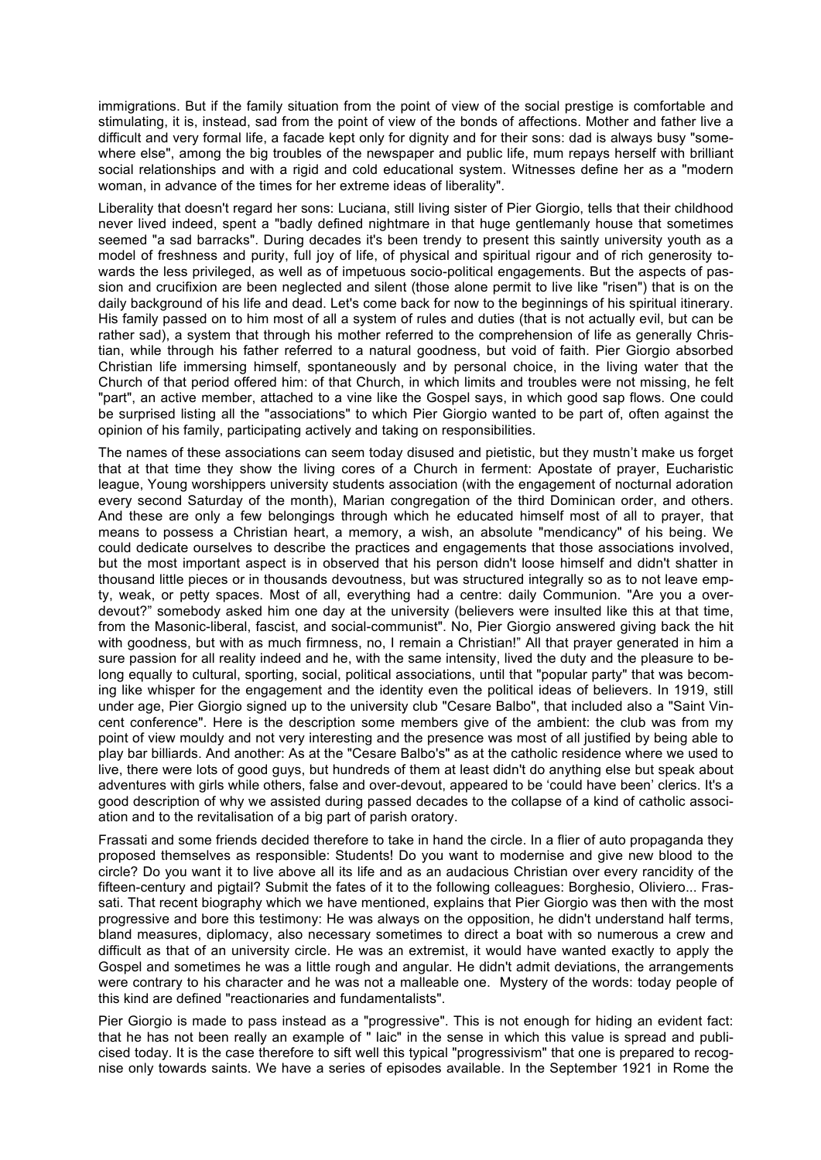immigrations. But if the family situation from the point of view of the social prestige is comfortable and stimulating, it is, instead, sad from the point of view of the bonds of affections. Mother and father live a difficult and very formal life, a facade kept only for dignity and for their sons: dad is always busy "somewhere else", among the big troubles of the newspaper and public life, mum repays herself with brilliant social relationships and with a rigid and cold educational system. Witnesses define her as a "modern woman, in advance of the times for her extreme ideas of liberality".

Liberality that doesn't regard her sons: Luciana, still living sister of Pier Giorgio, tells that their childhood never lived indeed, spent a "badly defined nightmare in that huge gentlemanly house that sometimes seemed "a sad barracks". During decades it's been trendy to present this saintly university youth as a model of freshness and purity, full joy of life, of physical and spiritual rigour and of rich generosity towards the less privileged, as well as of impetuous socio-political engagements. But the aspects of passion and crucifixion are been neglected and silent (those alone permit to live like "risen") that is on the daily background of his life and dead. Let's come back for now to the beginnings of his spiritual itinerary. His family passed on to him most of all a system of rules and duties (that is not actually evil, but can be rather sad), a system that through his mother referred to the comprehension of life as generally Christian, while through his father referred to a natural goodness, but void of faith. Pier Giorgio absorbed Christian life immersing himself, spontaneously and by personal choice, in the living water that the Church of that period offered him: of that Church, in which limits and troubles were not missing, he felt "part", an active member, attached to a vine like the Gospel says, in which good sap flows. One could be surprised listing all the "associations" to which Pier Giorgio wanted to be part of, often against the opinion of his family, participating actively and taking on responsibilities.

The names of these associations can seem today disused and pietistic, but they mustn't make us forget that at that time they show the living cores of a Church in ferment: Apostate of prayer, Eucharistic league, Young worshippers university students association (with the engagement of nocturnal adoration every second Saturday of the month), Marian congregation of the third Dominican order, and others. And these are only a few belongings through which he educated himself most of all to prayer, that means to possess a Christian heart, a memory, a wish, an absolute "mendicancy" of his being. We could dedicate ourselves to describe the practices and engagements that those associations involved, but the most important aspect is in observed that his person didn't loose himself and didn't shatter in thousand little pieces or in thousands devoutness, but was structured integrally so as to not leave empty, weak, or petty spaces. Most of all, everything had a centre: daily Communion. "Are you a overdevout?" somebody asked him one day at the university (believers were insulted like this at that time, from the Masonic-liberal, fascist, and social-communist". No, Pier Giorgio answered giving back the hit with goodness, but with as much firmness, no, I remain a Christian!" All that prayer generated in him a sure passion for all reality indeed and he, with the same intensity, lived the duty and the pleasure to belong equally to cultural, sporting, social, political associations, until that "popular party" that was becoming like whisper for the engagement and the identity even the political ideas of believers. In 1919, still under age, Pier Giorgio signed up to the university club "Cesare Balbo", that included also a "Saint Vincent conference". Here is the description some members give of the ambient: the club was from my point of view mouldy and not very interesting and the presence was most of all justified by being able to play bar billiards. And another: As at the "Cesare Balbo's" as at the catholic residence where we used to live, there were lots of good guys, but hundreds of them at least didn't do anything else but speak about adventures with girls while others, false and over-devout, appeared to be 'could have been' clerics. It's a good description of why we assisted during passed decades to the collapse of a kind of catholic association and to the revitalisation of a big part of parish oratory.

Frassati and some friends decided therefore to take in hand the circle. In a flier of auto propaganda they proposed themselves as responsible: Students! Do you want to modernise and give new blood to the circle? Do you want it to live above all its life and as an audacious Christian over every rancidity of the fifteen-century and pigtail? Submit the fates of it to the following colleagues: Borghesio, Oliviero... Frassati. That recent biography which we have mentioned, explains that Pier Giorgio was then with the most progressive and bore this testimony: He was always on the opposition, he didn't understand half terms, bland measures, diplomacy, also necessary sometimes to direct a boat with so numerous a crew and difficult as that of an university circle. He was an extremist, it would have wanted exactly to apply the Gospel and sometimes he was a little rough and angular. He didn't admit deviations, the arrangements were contrary to his character and he was not a malleable one. Mystery of the words: today people of this kind are defined "reactionaries and fundamentalists".

Pier Giorgio is made to pass instead as a "progressive". This is not enough for hiding an evident fact: that he has not been really an example of " laic" in the sense in which this value is spread and publicised today. It is the case therefore to sift well this typical "progressivism" that one is prepared to recognise only towards saints. We have a series of episodes available. In the September 1921 in Rome the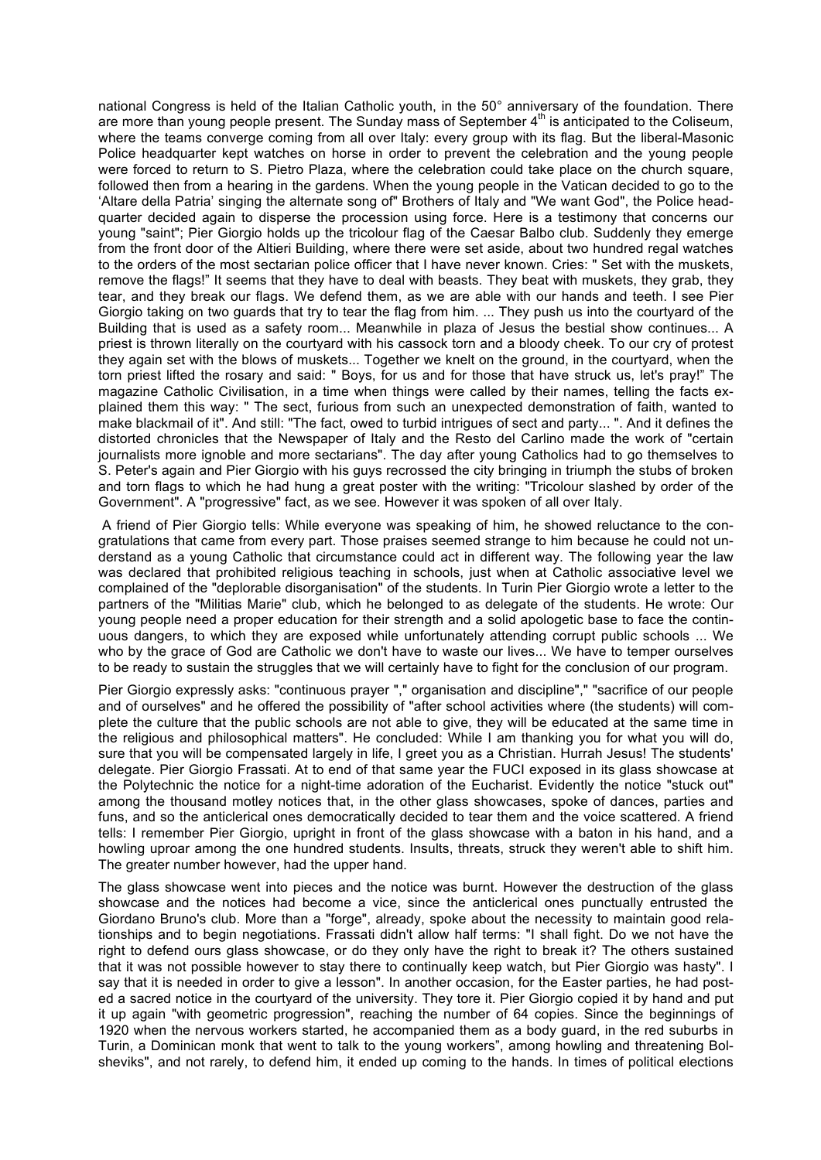national Congress is held of the Italian Catholic youth, in the 50° anniversary of the foundation. There are more than young people present. The Sunday mass of September  $4<sup>th</sup>$  is anticipated to the Coliseum, where the teams converge coming from all over Italy: every group with its flag. But the liberal-Masonic Police headquarter kept watches on horse in order to prevent the celebration and the young people were forced to return to S. Pietro Plaza, where the celebration could take place on the church square, followed then from a hearing in the gardens. When the young people in the Vatican decided to go to the 'Altare della Patria' singing the alternate song of" Brothers of Italy and "We want God", the Police headquarter decided again to disperse the procession using force. Here is a testimony that concerns our young "saint"; Pier Giorgio holds up the tricolour flag of the Caesar Balbo club. Suddenly they emerge from the front door of the Altieri Building, where there were set aside, about two hundred regal watches to the orders of the most sectarian police officer that I have never known. Cries: " Set with the muskets, remove the flags!" It seems that they have to deal with beasts. They beat with muskets, they grab, they tear, and they break our flags. We defend them, as we are able with our hands and teeth. I see Pier Giorgio taking on two guards that try to tear the flag from him. ... They push us into the courtyard of the Building that is used as a safety room... Meanwhile in plaza of Jesus the bestial show continues... A priest is thrown literally on the courtyard with his cassock torn and a bloody cheek. To our cry of protest they again set with the blows of muskets... Together we knelt on the ground, in the courtyard, when the torn priest lifted the rosary and said: " Boys, for us and for those that have struck us, let's pray!" The magazine Catholic Civilisation, in a time when things were called by their names, telling the facts explained them this way: " The sect, furious from such an unexpected demonstration of faith, wanted to make blackmail of it". And still: "The fact, owed to turbid intrigues of sect and party... ". And it defines the distorted chronicles that the Newspaper of Italy and the Resto del Carlino made the work of "certain journalists more ignoble and more sectarians". The day after young Catholics had to go themselves to S. Peter's again and Pier Giorgio with his guys recrossed the city bringing in triumph the stubs of broken and torn flags to which he had hung a great poster with the writing: "Tricolour slashed by order of the Government". A "progressive" fact, as we see. However it was spoken of all over Italy.

A friend of Pier Giorgio tells: While everyone was speaking of him, he showed reluctance to the congratulations that came from every part. Those praises seemed strange to him because he could not understand as a young Catholic that circumstance could act in different way. The following year the law was declared that prohibited religious teaching in schools, just when at Catholic associative level we complained of the "deplorable disorganisation" of the students. In Turin Pier Giorgio wrote a letter to the partners of the "Militias Marie" club, which he belonged to as delegate of the students. He wrote: Our young people need a proper education for their strength and a solid apologetic base to face the continuous dangers, to which they are exposed while unfortunately attending corrupt public schools ... We who by the grace of God are Catholic we don't have to waste our lives... We have to temper ourselves to be ready to sustain the struggles that we will certainly have to fight for the conclusion of our program.

Pier Giorgio expressly asks: "continuous prayer "," organisation and discipline"," "sacrifice of our people and of ourselves" and he offered the possibility of "after school activities where (the students) will complete the culture that the public schools are not able to give, they will be educated at the same time in the religious and philosophical matters". He concluded: While I am thanking you for what you will do, sure that you will be compensated largely in life, I greet you as a Christian. Hurrah Jesus! The students' delegate. Pier Giorgio Frassati. At to end of that same year the FUCI exposed in its glass showcase at the Polytechnic the notice for a night-time adoration of the Eucharist. Evidently the notice "stuck out" among the thousand motley notices that, in the other glass showcases, spoke of dances, parties and funs, and so the anticlerical ones democratically decided to tear them and the voice scattered. A friend tells: I remember Pier Giorgio, upright in front of the glass showcase with a baton in his hand, and a howling uproar among the one hundred students. Insults, threats, struck they weren't able to shift him. The greater number however, had the upper hand.

The glass showcase went into pieces and the notice was burnt. However the destruction of the glass showcase and the notices had become a vice, since the anticlerical ones punctually entrusted the Giordano Bruno's club. More than a "forge", already, spoke about the necessity to maintain good relationships and to begin negotiations. Frassati didn't allow half terms: "I shall fight. Do we not have the right to defend ours glass showcase, or do they only have the right to break it? The others sustained that it was not possible however to stay there to continually keep watch, but Pier Giorgio was hasty". I say that it is needed in order to give a lesson". In another occasion, for the Easter parties, he had posted a sacred notice in the courtyard of the university. They tore it. Pier Giorgio copied it by hand and put it up again "with geometric progression", reaching the number of 64 copies. Since the beginnings of 1920 when the nervous workers started, he accompanied them as a body guard, in the red suburbs in Turin, a Dominican monk that went to talk to the young workers", among howling and threatening Bolsheviks", and not rarely, to defend him, it ended up coming to the hands. In times of political elections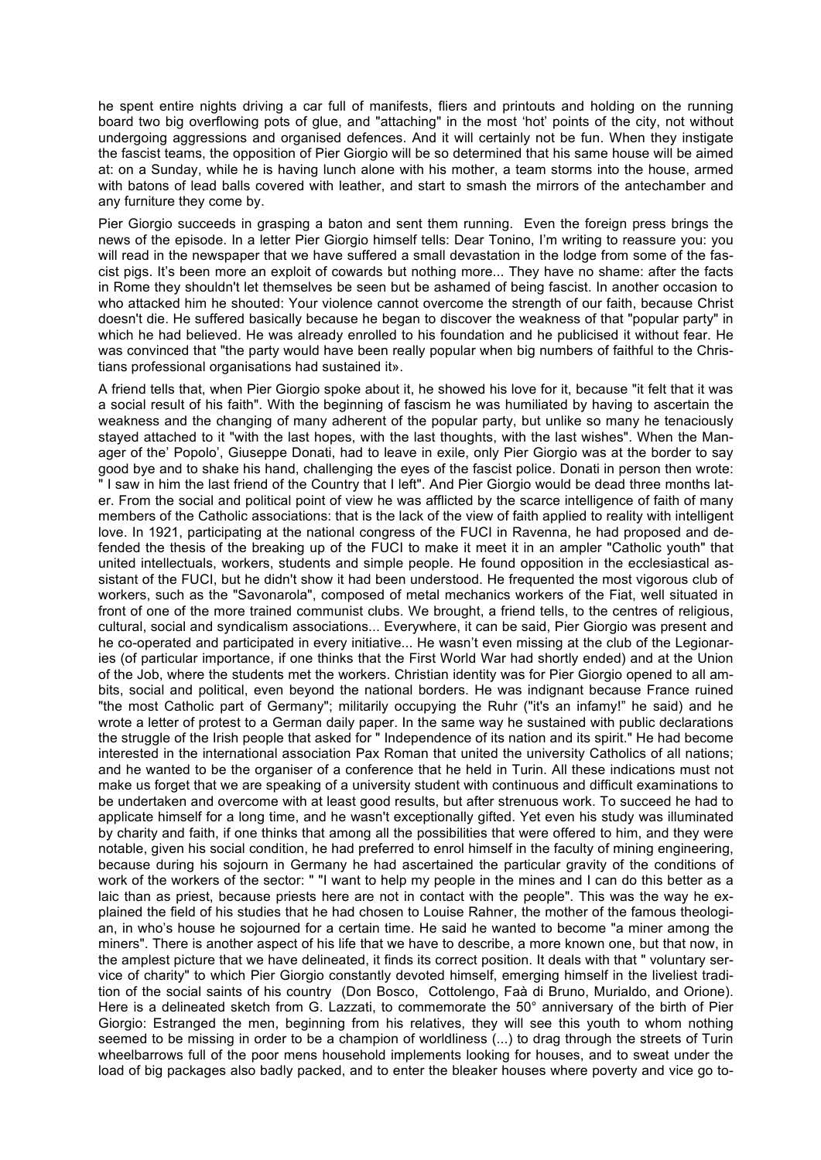he spent entire nights driving a car full of manifests, fliers and printouts and holding on the running board two big overflowing pots of glue, and "attaching" in the most 'hot' points of the city, not without undergoing aggressions and organised defences. And it will certainly not be fun. When they instigate the fascist teams, the opposition of Pier Giorgio will be so determined that his same house will be aimed at: on a Sunday, while he is having lunch alone with his mother, a team storms into the house, armed with batons of lead balls covered with leather, and start to smash the mirrors of the antechamber and any furniture they come by.

Pier Giorgio succeeds in grasping a baton and sent them running. Even the foreign press brings the news of the episode. In a letter Pier Giorgio himself tells: Dear Tonino, I'm writing to reassure you: you will read in the newspaper that we have suffered a small devastation in the lodge from some of the fascist pigs. It's been more an exploit of cowards but nothing more... They have no shame: after the facts in Rome they shouldn't let themselves be seen but be ashamed of being fascist. In another occasion to who attacked him he shouted: Your violence cannot overcome the strength of our faith, because Christ doesn't die. He suffered basically because he began to discover the weakness of that "popular party" in which he had believed. He was already enrolled to his foundation and he publicised it without fear. He was convinced that "the party would have been really popular when big numbers of faithful to the Christians professional organisations had sustained it».

A friend tells that, when Pier Giorgio spoke about it, he showed his love for it, because "it felt that it was a social result of his faith". With the beginning of fascism he was humiliated by having to ascertain the weakness and the changing of many adherent of the popular party, but unlike so many he tenaciously stayed attached to it "with the last hopes, with the last thoughts, with the last wishes". When the Manager of the' Popolo', Giuseppe Donati, had to leave in exile, only Pier Giorgio was at the border to say good bye and to shake his hand, challenging the eyes of the fascist police. Donati in person then wrote: " I saw in him the last friend of the Country that I left". And Pier Giorgio would be dead three months later. From the social and political point of view he was afflicted by the scarce intelligence of faith of many members of the Catholic associations: that is the lack of the view of faith applied to reality with intelligent love. In 1921, participating at the national congress of the FUCI in Ravenna, he had proposed and defended the thesis of the breaking up of the FUCI to make it meet it in an ampler "Catholic youth" that united intellectuals, workers, students and simple people. He found opposition in the ecclesiastical assistant of the FUCI, but he didn't show it had been understood. He frequented the most vigorous club of workers, such as the "Savonarola", composed of metal mechanics workers of the Fiat, well situated in front of one of the more trained communist clubs. We brought, a friend tells, to the centres of religious, cultural, social and syndicalism associations... Everywhere, it can be said, Pier Giorgio was present and he co-operated and participated in every initiative... He wasn't even missing at the club of the Legionaries (of particular importance, if one thinks that the First World War had shortly ended) and at the Union of the Job, where the students met the workers. Christian identity was for Pier Giorgio opened to all ambits, social and political, even beyond the national borders. He was indignant because France ruined "the most Catholic part of Germany"; militarily occupying the Ruhr ("it's an infamy!" he said) and he wrote a letter of protest to a German daily paper. In the same way he sustained with public declarations the struggle of the Irish people that asked for " Independence of its nation and its spirit." He had become interested in the international association Pax Roman that united the university Catholics of all nations; and he wanted to be the organiser of a conference that he held in Turin. All these indications must not make us forget that we are speaking of a university student with continuous and difficult examinations to be undertaken and overcome with at least good results, but after strenuous work. To succeed he had to applicate himself for a long time, and he wasn't exceptionally gifted. Yet even his study was illuminated by charity and faith, if one thinks that among all the possibilities that were offered to him, and they were notable, given his social condition, he had preferred to enrol himself in the faculty of mining engineering, because during his sojourn in Germany he had ascertained the particular gravity of the conditions of work of the workers of the sector: " "I want to help my people in the mines and I can do this better as a laic than as priest, because priests here are not in contact with the people". This was the way he explained the field of his studies that he had chosen to Louise Rahner, the mother of the famous theologian, in who's house he sojourned for a certain time. He said he wanted to become "a miner among the miners". There is another aspect of his life that we have to describe, a more known one, but that now, in the amplest picture that we have delineated, it finds its correct position. It deals with that " voluntary service of charity" to which Pier Giorgio constantly devoted himself, emerging himself in the liveliest tradition of the social saints of his country (Don Bosco, Cottolengo, Faà di Bruno, Murialdo, and Orione). Here is a delineated sketch from G. Lazzati, to commemorate the 50° anniversary of the birth of Pier Giorgio: Estranged the men, beginning from his relatives, they will see this youth to whom nothing seemed to be missing in order to be a champion of worldliness (...) to drag through the streets of Turin wheelbarrows full of the poor mens household implements looking for houses, and to sweat under the load of big packages also badly packed, and to enter the bleaker houses where poverty and vice go to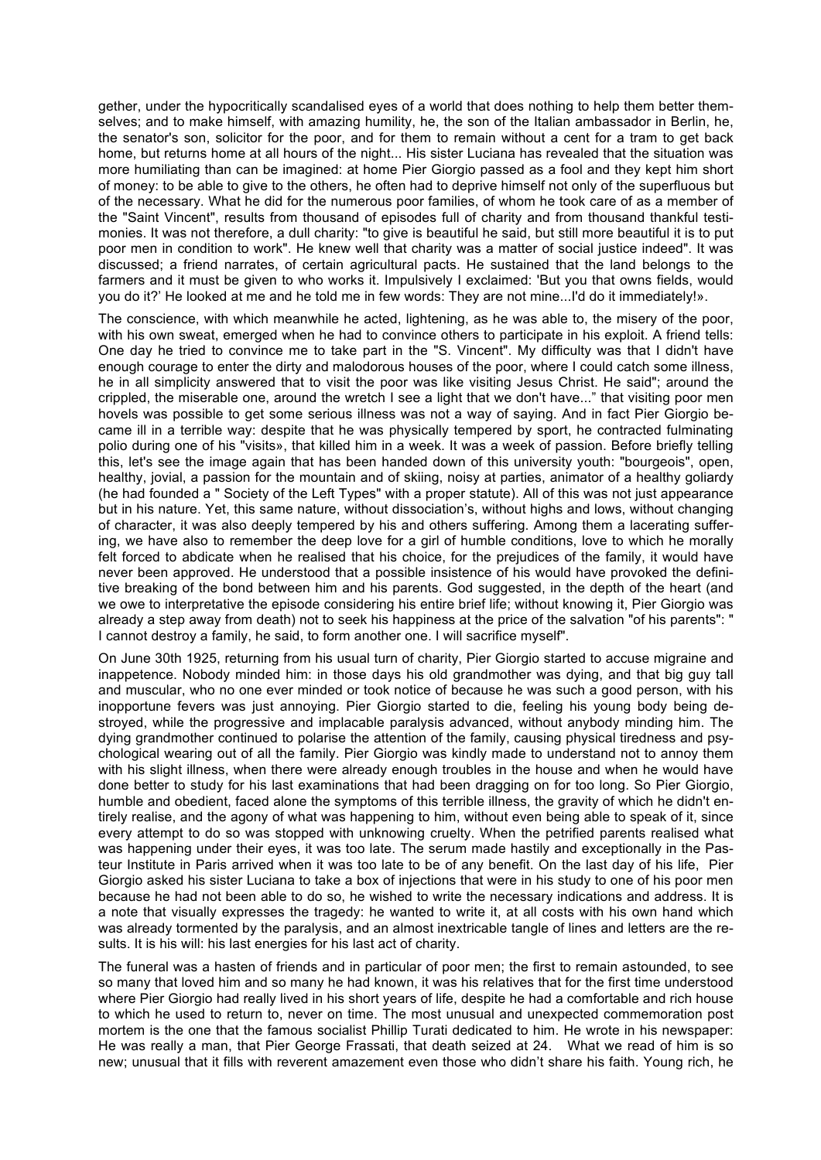gether, under the hypocritically scandalised eyes of a world that does nothing to help them better themselves; and to make himself, with amazing humility, he, the son of the Italian ambassador in Berlin, he, the senator's son, solicitor for the poor, and for them to remain without a cent for a tram to get back home, but returns home at all hours of the night... His sister Luciana has revealed that the situation was more humiliating than can be imagined: at home Pier Giorgio passed as a fool and they kept him short of money: to be able to give to the others, he often had to deprive himself not only of the superfluous but of the necessary. What he did for the numerous poor families, of whom he took care of as a member of the "Saint Vincent", results from thousand of episodes full of charity and from thousand thankful testimonies. It was not therefore, a dull charity: "to give is beautiful he said, but still more beautiful it is to put poor men in condition to work". He knew well that charity was a matter of social justice indeed". It was discussed; a friend narrates, of certain agricultural pacts. He sustained that the land belongs to the farmers and it must be given to who works it. Impulsively I exclaimed: 'But you that owns fields, would you do it?' He looked at me and he told me in few words: They are not mine...I'd do it immediately!».

The conscience, with which meanwhile he acted, lightening, as he was able to, the misery of the poor, with his own sweat, emerged when he had to convince others to participate in his exploit. A friend tells: One day he tried to convince me to take part in the "S. Vincent". My difficulty was that I didn't have enough courage to enter the dirty and malodorous houses of the poor, where I could catch some illness, he in all simplicity answered that to visit the poor was like visiting Jesus Christ. He said"; around the crippled, the miserable one, around the wretch I see a light that we don't have..." that visiting poor men hovels was possible to get some serious illness was not a way of saying. And in fact Pier Giorgio became ill in a terrible way: despite that he was physically tempered by sport, he contracted fulminating polio during one of his "visits», that killed him in a week. It was a week of passion. Before briefly telling this, let's see the image again that has been handed down of this university youth: "bourgeois", open, healthy, jovial, a passion for the mountain and of skiing, noisy at parties, animator of a healthy goliardy (he had founded a " Society of the Left Types" with a proper statute). All of this was not just appearance but in his nature. Yet, this same nature, without dissociation's, without highs and lows, without changing of character, it was also deeply tempered by his and others suffering. Among them a lacerating suffering, we have also to remember the deep love for a girl of humble conditions, love to which he morally felt forced to abdicate when he realised that his choice, for the prejudices of the family, it would have never been approved. He understood that a possible insistence of his would have provoked the definitive breaking of the bond between him and his parents. God suggested, in the depth of the heart (and we owe to interpretative the episode considering his entire brief life; without knowing it, Pier Giorgio was already a step away from death) not to seek his happiness at the price of the salvation "of his parents": " I cannot destroy a family, he said, to form another one. I will sacrifice myself".

On June 30th 1925, returning from his usual turn of charity, Pier Giorgio started to accuse migraine and inappetence. Nobody minded him: in those days his old grandmother was dying, and that big guy tall and muscular, who no one ever minded or took notice of because he was such a good person, with his inopportune fevers was just annoying. Pier Giorgio started to die, feeling his young body being destroyed, while the progressive and implacable paralysis advanced, without anybody minding him. The dying grandmother continued to polarise the attention of the family, causing physical tiredness and psychological wearing out of all the family. Pier Giorgio was kindly made to understand not to annoy them with his slight illness, when there were already enough troubles in the house and when he would have done better to study for his last examinations that had been dragging on for too long. So Pier Giorgio, humble and obedient, faced alone the symptoms of this terrible illness, the gravity of which he didn't entirely realise, and the agony of what was happening to him, without even being able to speak of it, since every attempt to do so was stopped with unknowing cruelty. When the petrified parents realised what was happening under their eyes, it was too late. The serum made hastily and exceptionally in the Pasteur Institute in Paris arrived when it was too late to be of any benefit. On the last day of his life, Pier Giorgio asked his sister Luciana to take a box of injections that were in his study to one of his poor men because he had not been able to do so, he wished to write the necessary indications and address. It is a note that visually expresses the tragedy: he wanted to write it, at all costs with his own hand which was already tormented by the paralysis, and an almost inextricable tangle of lines and letters are the results. It is his will: his last energies for his last act of charity.

The funeral was a hasten of friends and in particular of poor men; the first to remain astounded, to see so many that loved him and so many he had known, it was his relatives that for the first time understood where Pier Giorgio had really lived in his short years of life, despite he had a comfortable and rich house to which he used to return to, never on time. The most unusual and unexpected commemoration post mortem is the one that the famous socialist Phillip Turati dedicated to him. He wrote in his newspaper: He was really a man, that Pier George Frassati, that death seized at 24. What we read of him is so new; unusual that it fills with reverent amazement even those who didn't share his faith. Young rich, he